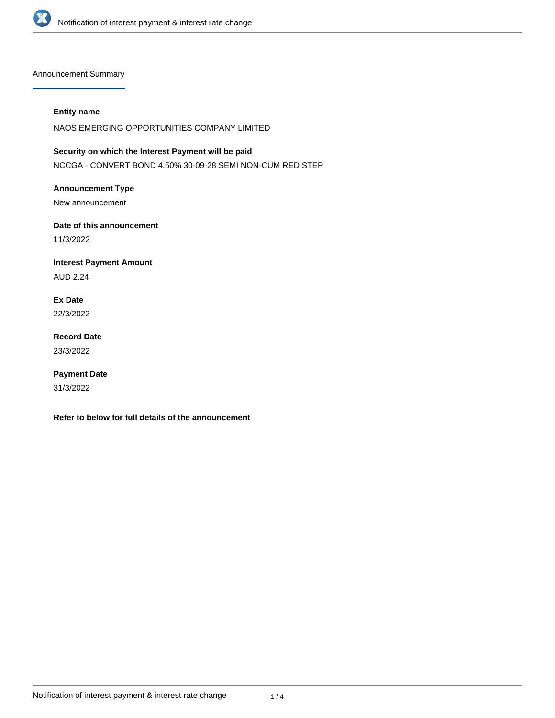

Announcement Summary

#### **Entity name**

NAOS EMERGING OPPORTUNITIES COMPANY LIMITED

**Security on which the Interest Payment will be paid** NCCGA - CONVERT BOND 4.50% 30-09-28 SEMI NON-CUM RED STEP

**Announcement Type**

New announcement

**Date of this announcement** 11/3/2022

**Interest Payment Amount** AUD 2.24

**Ex Date** 22/3/2022

**Record Date** 23/3/2022

**Payment Date** 31/3/2022

**Refer to below for full details of the announcement**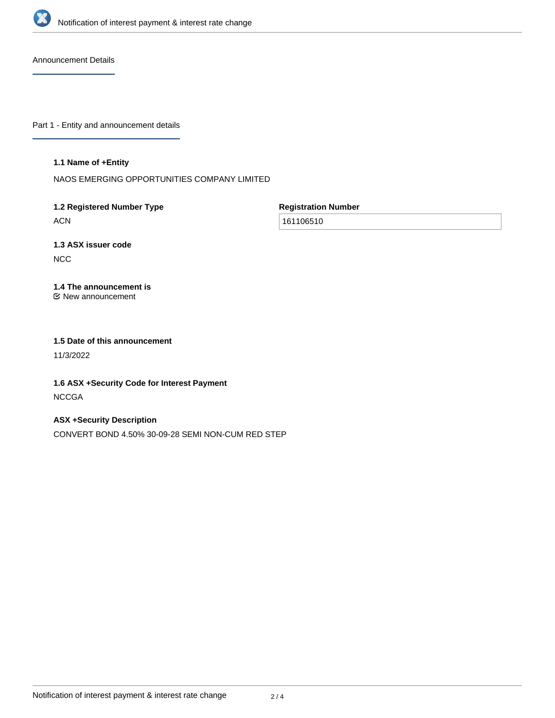

Announcement Details

Part 1 - Entity and announcement details

#### **1.1 Name of +Entity**

NAOS EMERGING OPPORTUNITIES COMPANY LIMITED

# **1.2 Registered Number Type**

ACN

**Registration Number**

161106510

# **1.3 ASX issuer code**

NCC

# **1.4 The announcement is**

New announcement

### **1.5 Date of this announcement**

11/3/2022

# **1.6 ASX +Security Code for Interest Payment NCCGA**

## **ASX +Security Description**

CONVERT BOND 4.50% 30-09-28 SEMI NON-CUM RED STEP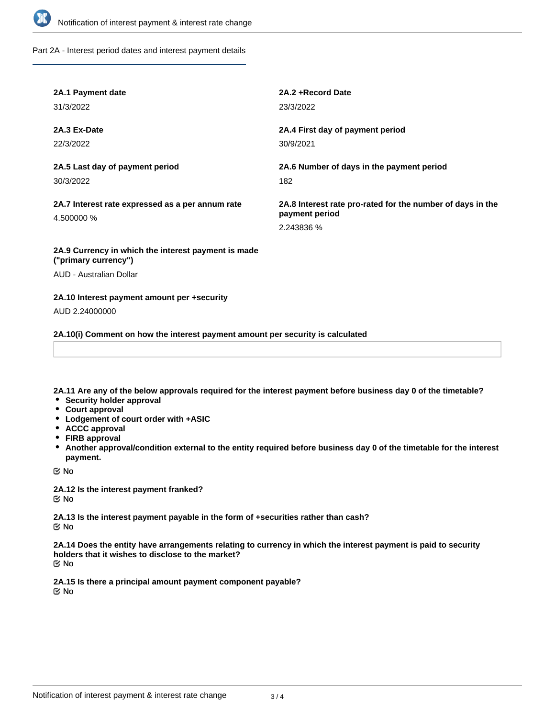

Part 2A - Interest period dates and interest payment details

| 2A.1 Payment date                                                           | 2A.2+Record Date                                                                           |
|-----------------------------------------------------------------------------|--------------------------------------------------------------------------------------------|
| 31/3/2022                                                                   | 23/3/2022                                                                                  |
| 2A.3 Ex-Date                                                                | 2A.4 First day of payment period                                                           |
| 22/3/2022                                                                   | 30/9/2021                                                                                  |
| 2A.5 Last day of payment period                                             | 2A.6 Number of days in the payment period                                                  |
| 30/3/2022                                                                   | 182                                                                                        |
| 2A.7 Interest rate expressed as a per annum rate<br>4.500000 %              | 2A.8 Interest rate pro-rated for the number of days in the<br>payment period<br>2.243836 % |
| 2A.9 Currency in which the interest payment is made<br>("primary currency") |                                                                                            |

AUD - Australian Dollar

#### **2A.10 Interest payment amount per +security**

AUD 2.24000000

**2A.10(i) Comment on how the interest payment amount per security is calculated**

**2A.11 Are any of the below approvals required for the interest payment before business day 0 of the timetable?**

- **•** Security holder approval
- **Court approval**
- **Lodgement of court order with +ASIC**
- **ACCC approval**
- **FIRB approval**
- **Another approval/condition external to the entity required before business day 0 of the timetable for the interest payment.**

No

**2A.12 Is the interest payment franked?** No

**2A.13 Is the interest payment payable in the form of +securities rather than cash?** No

**2A.14 Does the entity have arrangements relating to currency in which the interest payment is paid to security holders that it wishes to disclose to the market?** No

**2A.15 Is there a principal amount payment component payable?** No